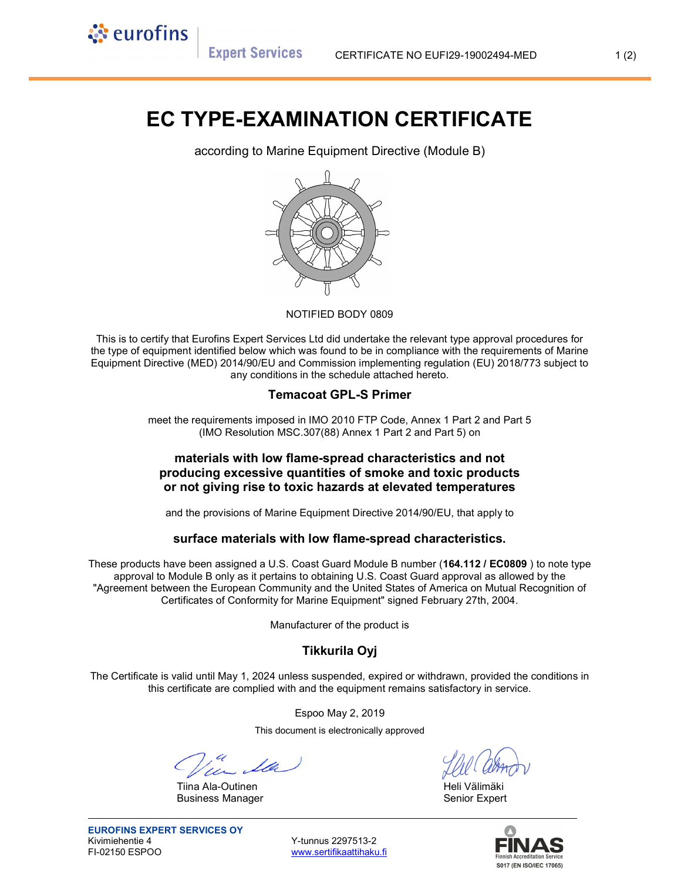**Expert Services** 

े eurofins

# EC TYPE-EXAMINATION CERTIFICATE

according to Marine Equipment Directive (Module B)



#### NOTIFIED BODY 0809

This is to certify that Eurofins Expert Services Ltd did undertake the relevant type approval procedures for the type of equipment identified below which was found to be in compliance with the requirements of Marine Equipment Directive (MED) 2014/90/EU and Commission implementing regulation (EU) 2018/773 subject to any conditions in the schedule attached hereto.

#### Temacoat GPL-S Primer

meet the requirements imposed in IMO 2010 FTP Code, Annex 1 Part 2 and Part 5 (IMO Resolution MSC.307(88) Annex 1 Part 2 and Part 5) on

## materials with low flame-spread characteristics and not producing excessive quantities of smoke and toxic products or not giving rise to toxic hazards at elevated temperatures

and the provisions of Marine Equipment Directive 2014/90/EU, that apply to

#### surface materials with low flame-spread characteristics.

These products have been assigned a U.S. Coast Guard Module B number (164.112 / EC0809) to note type approval to Module B only as it pertains to obtaining U.S. Coast Guard approval as allowed by the "Agreement between the European Community and the United States of America on Mutual Recognition of Certificates of Conformity for Marine Equipment" signed February 27th, 2004.

Manufacturer of the product is

## Tikkurila Oyj

The Certificate is valid until May 1, 2024 unless suspended, expired or withdrawn, provided the conditions in this certificate are complied with and the equipment remains satisfactory in service.

Espoo May 2, 2019

This document is electronically approved

Tiina Ala-Outinen Heli Välimäki Kuulusta Kassassa Heli Välimäki Business Manager **Senior Expert** Senior Expert

www.sertifikaattihaku.fi